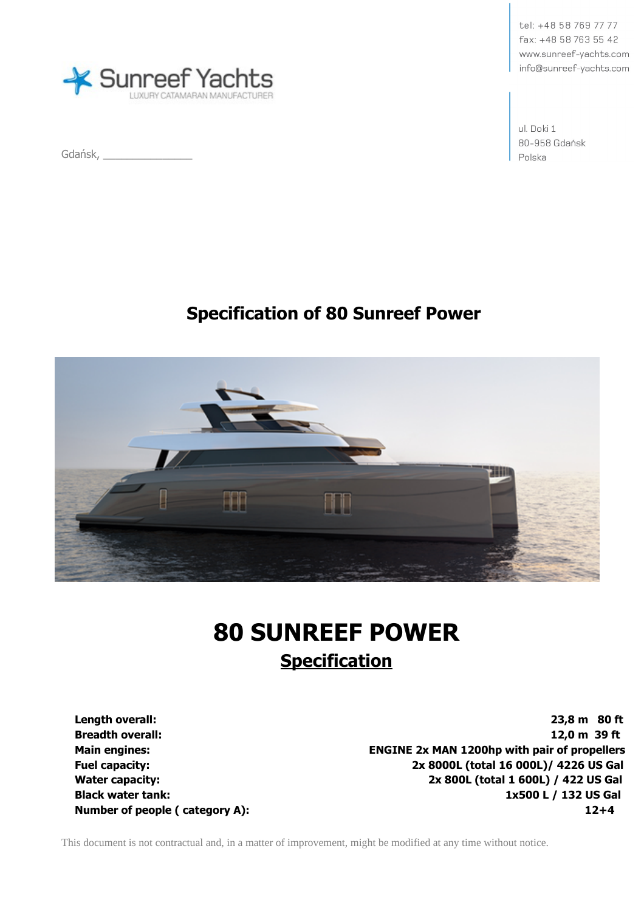

Gdańsk, \_\_\_\_\_\_\_\_\_\_\_\_\_\_\_

tel: +48 58 769 77 77 fax: +48 58 763 55 42 www.sunreef-yachts.com info@sunreef-vachts.com

ul. Doki 1 80-958 Gdańsk Polska

# **Specification of 80 Sunreef Power**



# **80 SUNREEF POWER Specification**

**Length overall: 23,8 m 80 ft Breadth overall: 12,0 m 39 ft Main engines: ENGINE 2x MAN 1200hp with pair of propellers Fuel capacity: 2x 8000L (total 16 000L)/ 4226 US Gal Water capacity: 2x 800L (total 1 600L) / 422 US Gal Black water tank: 1x500 L / 132 US Gal Number of people ( category A):** 12+4

This document is not contractual and, in a matter of improvement, might be modified at any time without notice.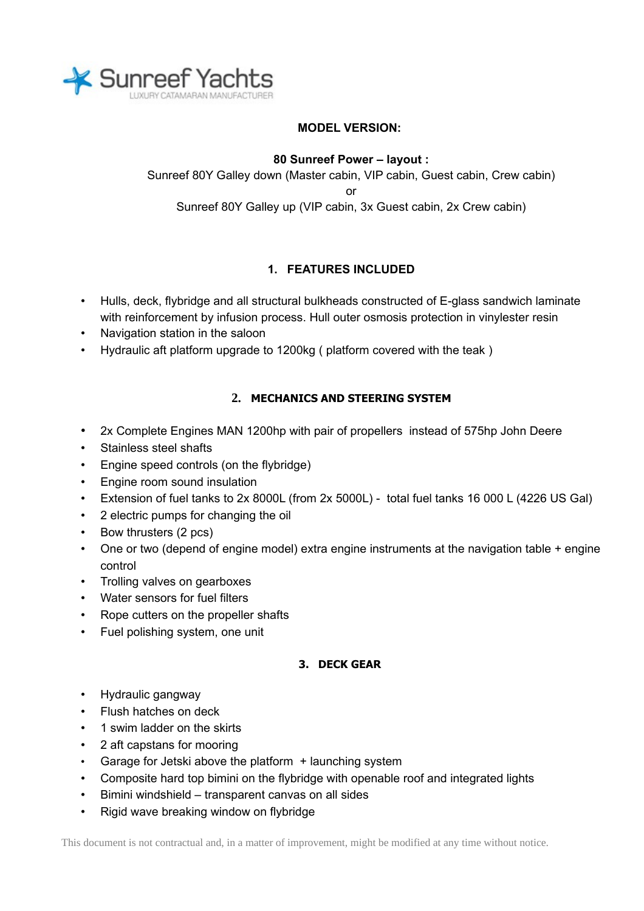

# **MODEL VERSION:**

#### **80 Sunreef Power – layout :**

Sunreef 80Y Galley down (Master cabin, VIP cabin, Guest cabin, Crew cabin) or Sunreef 80Y Galley up (VIP cabin, 3x Guest cabin, 2x Crew cabin)

# **1. FEATURES INCLUDED**

- Hulls, deck, flybridge and all structural bulkheads constructed of E-glass sandwich laminate with reinforcement by infusion process. Hull outer osmosis protection in vinylester resin
- Navigation station in the saloon
- Hydraulic aft platform upgrade to 1200kg ( platform covered with the teak )

# **2. MECHANICS AND STEERING SYSTEM**

- 2x Complete Engines MAN 1200hp with pair of propellers instead of 575hp John Deere
- Stainless steel shafts
- Engine speed controls (on the flybridge)
- Engine room sound insulation
- Extension of fuel tanks to 2x 8000L (from 2x 5000L) total fuel tanks 16 000 L (4226 US Gal)
- 2 electric pumps for changing the oil
- Bow thrusters (2 pcs)
- One or two (depend of engine model) extra engine instruments at the navigation table + engine control
- Trolling valves on gearboxes
- Water sensors for fuel filters
- Rope cutters on the propeller shafts
- Fuel polishing system, one unit

#### **3. DECK GEAR**

- Hydraulic gangway
- Flush hatches on deck
- 1 swim ladder on the skirts
- 2 aft capstans for mooring
- Garage for Jetski above the platform + launching system
- Composite hard top bimini on the flybridge with openable roof and integrated lights
- Bimini windshield transparent canvas on all sides
- Rigid wave breaking window on flybridge

This document is not contractual and, in a matter of improvement, might be modified at any time without notice.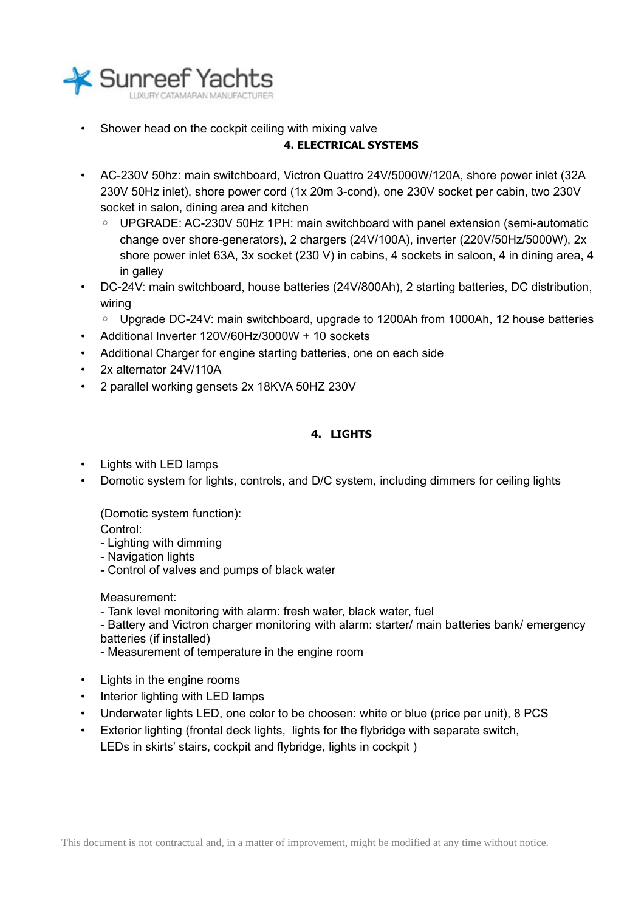

• Shower head on the cockpit ceiling with mixing valve

### **4. ELECTRICAL SYSTEMS**

- AC-230V 50hz: main switchboard, Victron Quattro 24V/5000W/120A, shore power inlet (32A 230V 50Hz inlet), shore power cord (1x 20m 3-cond), one 230V socket per cabin, two 230V socket in salon, dining area and kitchen
	- UPGRADE: AC-230V 50Hz 1PH: main switchboard with panel extension (semi-automatic change over shore-generators), 2 chargers (24V/100A), inverter (220V/50Hz/5000W), 2x shore power inlet 63A, 3x socket (230 V) in cabins, 4 sockets in saloon, 4 in dining area, 4 in galley
- DC-24V: main switchboard, house batteries (24V/800Ah), 2 starting batteries, DC distribution, wiring
	- Upgrade DC-24V: main switchboard, upgrade to 1200Ah from 1000Ah, 12 house batteries
- Additional Inverter 120V/60Hz/3000W + 10 sockets
- Additional Charger for engine starting batteries, one on each side
- 2x alternator 24V/110A
- 2 parallel working gensets 2x 18KVA 50HZ 230V

# **4. LIGHTS**

- Lights with LED lamps
- Domotic system for lights, controls, and D/C system, including dimmers for ceiling lights

(Domotic system function):

- Control:
- Lighting with dimming
- Navigation lights
- Control of valves and pumps of black water

Measurement:

- Tank level monitoring with alarm: fresh water, black water, fuel

- Battery and Victron charger monitoring with alarm: starter/ main batteries bank/ emergency batteries (if installed)

- Measurement of temperature in the engine room

- Lights in the engine rooms
- Interior lighting with LED lamps
- Underwater lights LED, one color to be choosen: white or blue (price per unit), 8 PCS
- Exterior lighting (frontal deck lights, lights for the flybridge with separate switch, LEDs in skirts' stairs, cockpit and flybridge, lights in cockpit )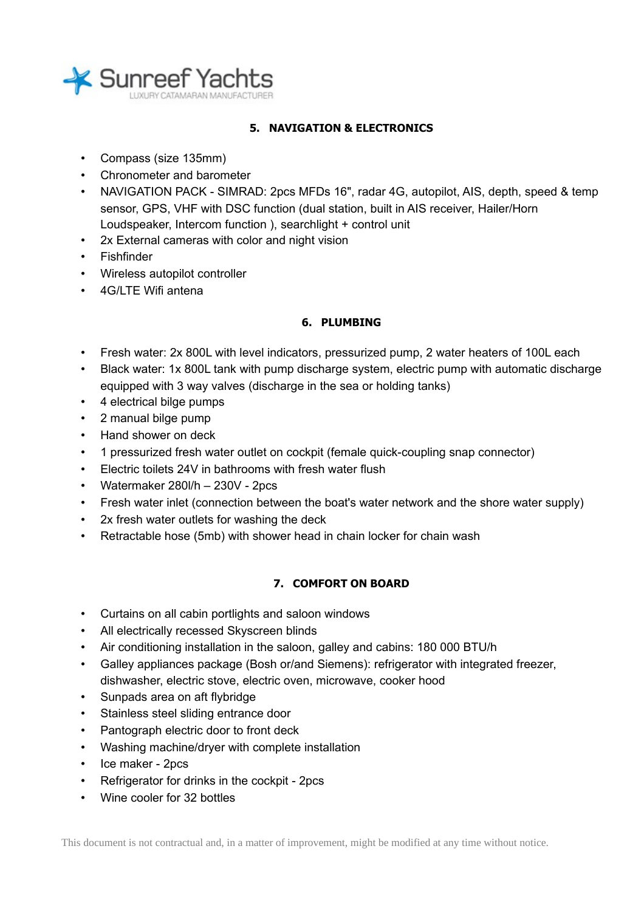

# **5. NAVIGATION & ELECTRONICS**

- Compass (size 135mm)
- Chronometer and barometer
- NAVIGATION PACK SIMRAD: 2pcs MFDs 16", radar 4G, autopilot, AIS, depth, speed & temp sensor, GPS, VHF with DSC function (dual station, built in AIS receiver, Hailer/Horn Loudspeaker, Intercom function ), searchlight + control unit
- 2x External cameras with color and night vision
- Fishfinder
- Wireless autopilot controller
- 4G/LTE Wifi antena

#### **6. PLUMBING**

- Fresh water: 2x 800L with level indicators, pressurized pump, 2 water heaters of 100L each
- Black water: 1x 800L tank with pump discharge system, electric pump with automatic discharge equipped with 3 way valves (discharge in the sea or holding tanks)
- 4 electrical bilge pumps
- 2 manual bilge pump
- Hand shower on deck
- 1 pressurized fresh water outlet on cockpit (female quick-coupling snap connector)
- Electric toilets 24V in bathrooms with fresh water flush
- Watermaker 280l/h 230V 2pcs
- Fresh water inlet (connection between the boat's water network and the shore water supply)
- 2x fresh water outlets for washing the deck
- Retractable hose (5mb) with shower head in chain locker for chain wash

#### **7. COMFORT ON BOARD**

- Curtains on all cabin portlights and saloon windows
- All electrically recessed Skyscreen blinds
- Air conditioning installation in the saloon, galley and cabins: 180 000 BTU/h
- Galley appliances package (Bosh or/and Siemens): refrigerator with integrated freezer, dishwasher, electric stove, electric oven, microwave, cooker hood
- Sunpads area on aft flybridge
- Stainless steel sliding entrance door
- Pantograph electric door to front deck
- Washing machine/dryer with complete installation
- Ice maker 2pcs
- Refrigerator for drinks in the cockpit 2pcs
- Wine cooler for 32 bottles

This document is not contractual and, in a matter of improvement, might be modified at any time without notice.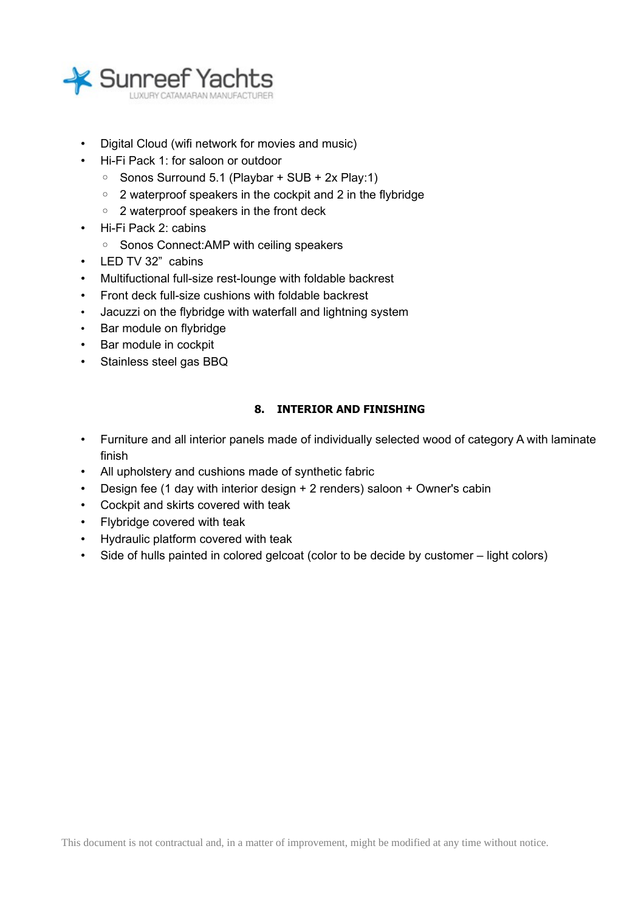

- Digital Cloud (wifi network for movies and music)
- Hi-Fi Pack 1: for saloon or outdoor
	- Sonos Surround 5.1 (Playbar + SUB + 2x Play:1)
	- 2 waterproof speakers in the cockpit and 2 in the flybridge
	- 2 waterproof speakers in the front deck
- Hi-Fi Pack 2: cabins
	- Sonos Connect:AMP with ceiling speakers
- LED TV 32" cabins
- Multifuctional full-size rest-lounge with foldable backrest
- Front deck full-size cushions with foldable backrest
- Jacuzzi on the flybridge with waterfall and lightning system
- Bar module on flybridge
- Bar module in cockpit
- Stainless steel gas BBQ

# **8. INTERIOR AND FINISHING**

- Furniture and all interior panels made of individually selected wood of category A with laminate finish
- All upholstery and cushions made of synthetic fabric
- Design fee (1 day with interior design + 2 renders) saloon + Owner's cabin
- Cockpit and skirts covered with teak
- Flybridge covered with teak
- Hydraulic platform covered with teak
- Side of hulls painted in colored gelcoat (color to be decide by customer light colors)